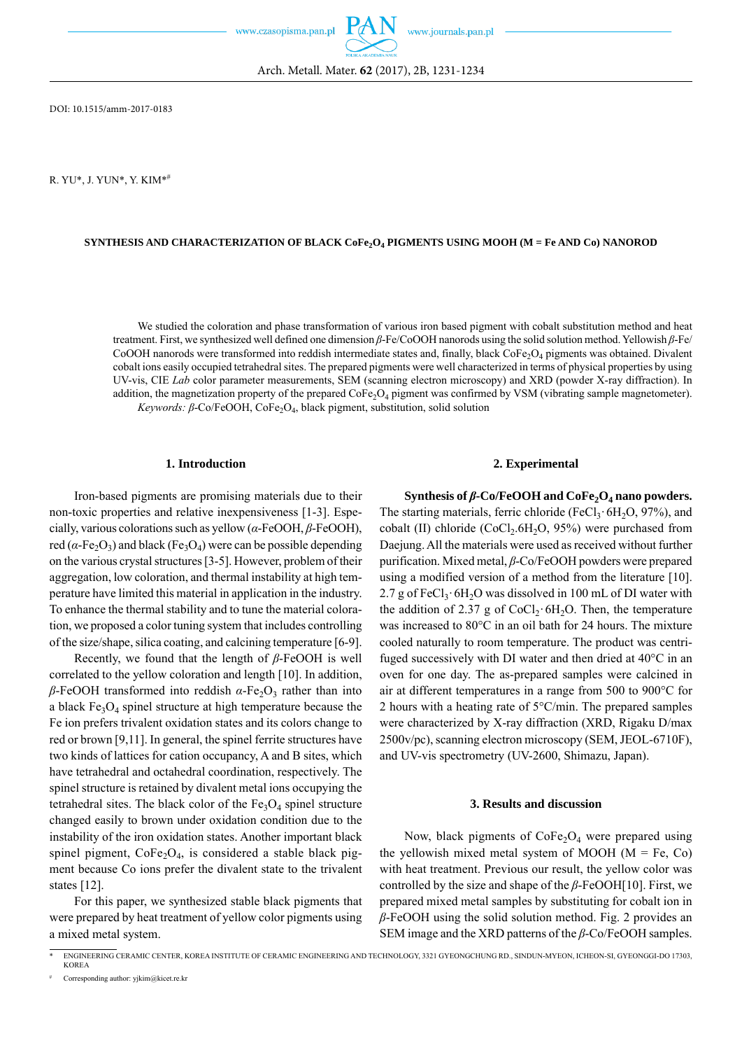www.czasopisma.pan.pl

R. YU\*, J. YUN\*, Y. KIM\*#

## SYNTHESIS AND CHARACTERIZATION OF BLACK CoFe<sub>2</sub>O<sub>4</sub> PIGMENTS USING MOOH (M = Fe AND Co) NANOROD

Arch. Metall. Mater. **62** (2017), 2B, 1231-1234

We studied the coloration and phase transformation of various iron based pigment with cobalt substitution method and heat treatment. First, we synthesized well defined one dimension *β*-Fe/CoOOH nanorods using the solid solution method. Yellowish *β*-Fe/ CoOOH nanorods were transformed into reddish intermediate states and, finally, black  $\text{Cofe-O}_4$  pigments was obtained. Divalent cobalt ions easily occupied tetrahedral sites. The prepared pigments were well characterized in terms of physical properties by using UV-vis, CIE *Lab* color parameter measurements, SEM (scanning electron microscopy) and XRD (powder X-ray diffraction). In addition, the magnetization property of the prepared  $\text{CoFe}_2\text{O}_4$  pigment was confirmed by VSM (vibrating sample magnetometer). *Keywords: β*-Co/FeOOH, CoFe<sub>2</sub>O<sub>4</sub>, black pigment, substitution, solid solution

## **1. Introduction**

Iron-based pigments are promising materials due to their non-toxic properties and relative inexpensiveness [1-3]. Especially, various colorations such as yellow (*α*-FeOOH, *β*-FeOOH), red ( $\alpha$ -Fe<sub>2</sub>O<sub>3</sub>) and black (Fe<sub>3</sub>O<sub>4</sub>) were can be possible depending on the various crystal structures [3-5]. However, problem of their aggregation, low coloration, and thermal instability at high temperature have limited this material in application in the industry. To enhance the thermal stability and to tune the material coloration, we proposed a color tuning system that includes controlling of the size/shape, silica coating, and calcining temperature [6-9].

Recently, we found that the length of *β*-FeOOH is well correlated to the yellow coloration and length [10]. In addition, *β*-FeOOH transformed into reddish  $α$ -Fe<sub>2</sub>O<sub>3</sub> rather than into a black  $Fe<sub>3</sub>O<sub>4</sub>$  spinel structure at high temperature because the Fe ion prefers trivalent oxidation states and its colors change to red or brown [9,11]. In general, the spinel ferrite structures have two kinds of lattices for cation occupancy, A and B sites, which have tetrahedral and octahedral coordination, respectively. The spinel structure is retained by divalent metal ions occupying the tetrahedral sites. The black color of the  $Fe<sub>3</sub>O<sub>4</sub>$  spinel structure changed easily to brown under oxidation condition due to the instability of the iron oxidation states. Another important black spinel pigment,  $CoFe<sub>2</sub>O<sub>4</sub>$ , is considered a stable black pigment because Co ions prefer the divalent state to the trivalent states [12].

For this paper, we synthesized stable black pigments that were prepared by heat treatment of yellow color pigments using a mixed metal system.

### **2. Experimental**

Synthesis of β-Co/FeOOH and CoFe<sub>2</sub>O<sub>4</sub> nano powders. The starting materials, ferric chloride (FeCl<sub>3</sub> $\cdot$  6H<sub>2</sub>O, 97%), and cobalt (II) chloride  $(CoCl<sub>2</sub>.6H<sub>2</sub>O, 95%)$  were purchased from Daejung. All the materials were used as received without further purification. Mixed metal, *β*-Co/FeOOH powders were prepared using a modified version of a method from the literature [10]. 2.7 g of FeCl<sub>3</sub>· 6H<sub>2</sub>O was dissolved in 100 mL of DI water with the addition of 2.37 g of CoCl<sub>2</sub>· 6H<sub>2</sub>O. Then, the temperature was increased to 80°C in an oil bath for 24 hours. The mixture cooled naturally to room temperature. The product was centrifuged successively with DI water and then dried at 40°C in an oven for one day. The as-prepared samples were calcined in air at different temperatures in a range from 500 to 900°C for 2 hours with a heating rate of 5°C/min. The prepared samples were characterized by X-ray diffraction (XRD, Rigaku D/max 2500v/pc), scanning electron microscopy (SEM, JEOL-6710F), and UV-vis spectrometry (UV-2600, Shimazu, Japan).

## **3. Results and discussion**

Now, black pigments of  $CoFe<sub>2</sub>O<sub>4</sub>$  were prepared using the yellowish mixed metal system of MOOH  $(M = Fe, Co)$ with heat treatment. Previous our result, the yellow color was controlled by the size and shape of the *β*-FeOOH[10]. First, we prepared mixed metal samples by substituting for cobalt ion in *β*-FeOOH using the solid solution method. Fig. 2 provides an SEM image and the XRD patterns of the *β*-Co/FeOOH samples.

<sup>\*</sup> ENGINEERING CERAMIC CENTER, KOREA INSTITUTE OF CERAMIC ENGINEERING AND TECHNOLOGY, 3321 GYEONGCHUNG RD., SINDUN-MYEON, ICHEON-SI, GYEONGGI-DO 17303, KOREA

Corresponding author: vikim@kicet.re.kr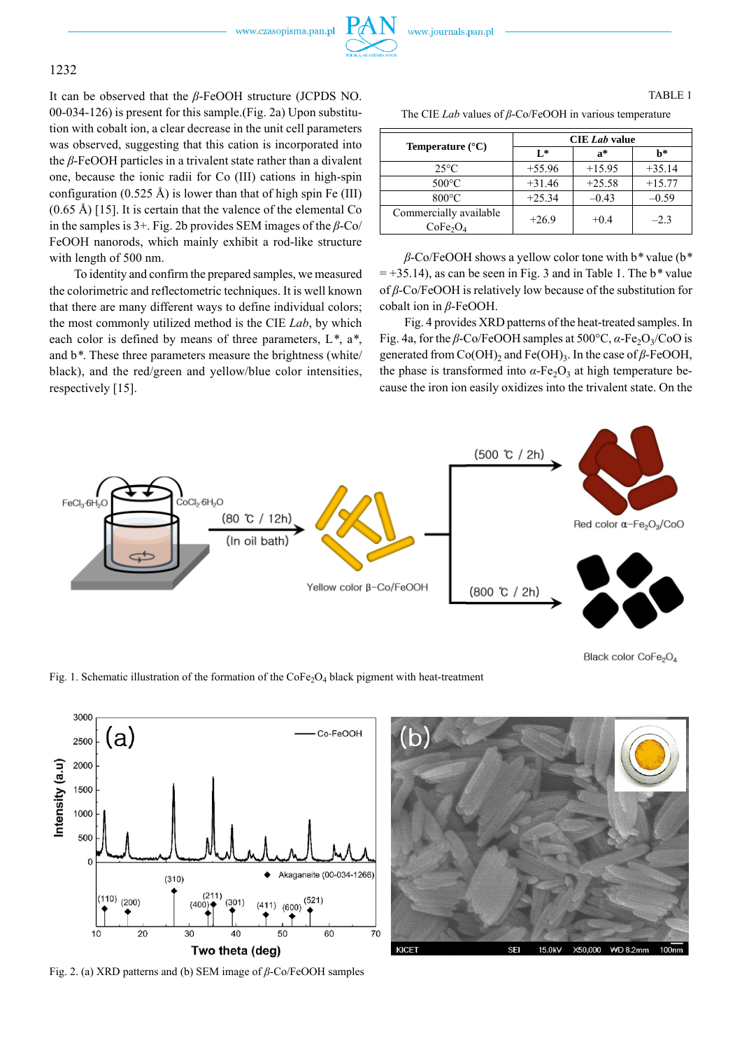www.czasopisma.pan.pl



It can be observed that the *β*-FeOOH structure (JCPDS NO. 00-034-126) is present for this sample.(Fig. 2a) Upon substitution with cobalt ion, a clear decrease in the unit cell parameters was observed, suggesting that this cation is incorporated into the *β*-FeOOH particles in a trivalent state rather than a divalent one, because the ionic radii for Co (III) cations in high-spin configuration (0.525 Å) is lower than that of high spin Fe (III)  $(0.65 \text{ Å})$  [15]. It is certain that the valence of the elemental Co in the samples is 3+. Fig. 2b provides SEM images of the *β*-Co/ FeOOH nanorods, which mainly exhibit a rod-like structure with length of 500 nm.

To identity and confirm the prepared samples, we measured the colorimetric and reflectometric techniques. It is well known that there are many different ways to define individual colors; the most commonly utilized method is the CIE *Lab*, by which each color is defined by means of three parameters, L*\**, a*\**, and b*\**. These three parameters measure the brightness (white/ black), and the red/green and yellow/blue color intensities, respectively [15].

# TABLE 1

The CIE *Lab* values of *β*-Co/FeOOH in various temperature

| <b>Temperature</b> $(^{\circ}C)$                           | <b>CIE</b> <i>Lab</i> value |          |          |
|------------------------------------------------------------|-----------------------------|----------|----------|
|                                                            | $L^*$                       | $a^*$    | h*       |
| $25^{\circ}$ C                                             | $+55.96$                    | $+15.95$ | $+35.14$ |
| $500^{\circ}$ C                                            | $+31.46$                    | $+25.58$ | $+15.77$ |
| $800^{\circ}$ C                                            | $+25.34$                    | $-0.43$  | $-0.59$  |
| Commercially available<br>CoFe <sub>2</sub> O <sub>4</sub> | $+26.9$                     | $+0.4$   | $-2.3$   |

*β*-Co/FeOOH shows a yellow color tone with b*\** value (b*\** = +35.14), as can be seen in Fig. 3 and in Table 1. The b*\** value of *β*-Co/FeOOH is relatively low because of the substitution for cobalt ion in *β*-FeOOH.

Fig. 4 provides XRD patterns of the heat-treated samples. In Fig. 4a, for the *β*-Co/FeOOH samples at  $500^{\circ}$ C,  $\alpha$ -Fe<sub>2</sub>O<sub>3</sub>/CoO is generated from Co(OH)<sub>2</sub> and Fe(OH)<sub>3</sub>. In the case of β-FeOOH, the phase is transformed into  $\alpha$ -Fe<sub>2</sub>O<sub>3</sub> at high temperature because the iron ion easily oxidizes into the trivalent state. On the



Black color CoFe<sub>2</sub>O<sub>4</sub>

Fig. 1. Schematic illustration of the formation of the  $\text{CoFe}_2\text{O}_4$  black pigment with heat-treatment



Fig. 2. (a) XRD patterns and (b) SEM image of *β*-Co/FeOOH samples

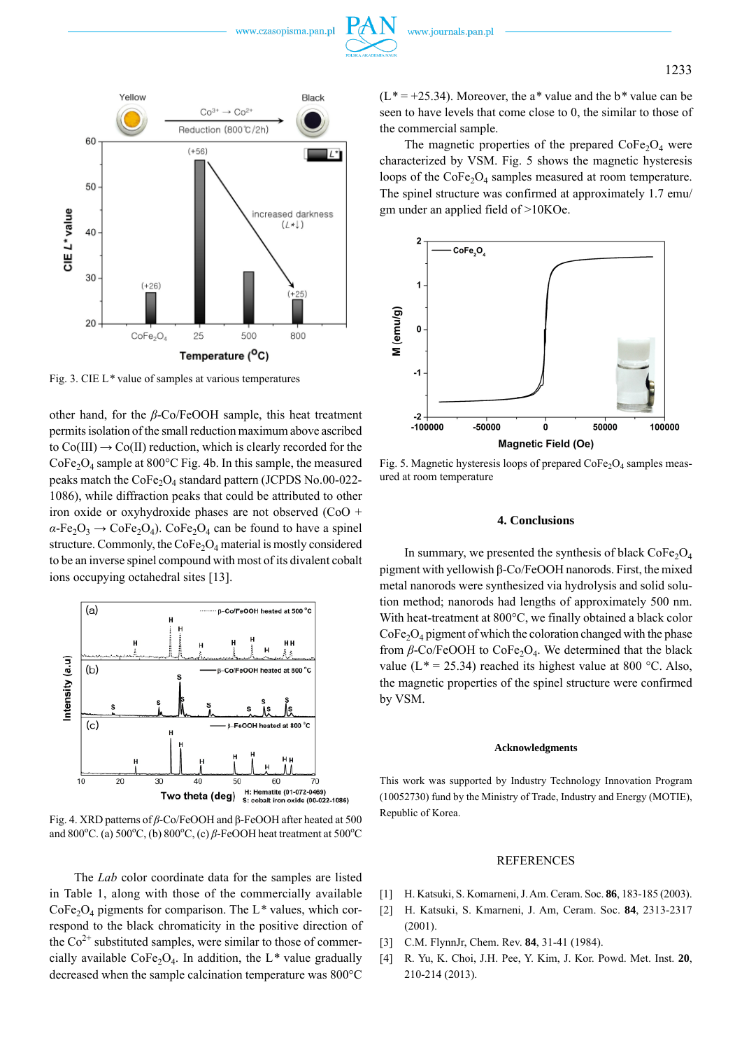



Fig. 3. CIE L*\** value of samples at various temperatures

other hand, for the *β*-Co/FeOOH sample, this heat treatment permits isolation of the small reduction maximum above ascribed to  $Co(III) \rightarrow Co(II)$  reduction, which is clearly recorded for the  $CoFe<sub>2</sub>O<sub>4</sub>$  sample at 800°C Fig. 4b. In this sample, the measured peaks match the  $CoFe<sub>2</sub>O<sub>4</sub>$  standard pattern (JCPDS No.00-022-1086), while diffraction peaks that could be attributed to other iron oxide or oxyhydroxide phases are not observed (CoO +  $\alpha$ -Fe<sub>2</sub>O<sub>3</sub>  $\rightarrow$  CoFe<sub>2</sub>O<sub>4</sub>). CoFe<sub>2</sub>O<sub>4</sub> can be found to have a spinel structure. Commonly, the  $\text{CoFe}_2\text{O}_4$  material is mostly considered to be an inverse spinel compound with most of its divalent cobalt ions occupying octahedral sites [13].



Fig. 4. XRD patterns of *β*-Co/FeOOH and β-FeOOH after heated at 500 and 800<sup>o</sup>C. (a) 500<sup>o</sup>C, (b) 800<sup>o</sup>C, (c)  $\beta$ -FeOOH heat treatment at 500<sup>o</sup>C

The *Lab* color coordinate data for the samples are listed in Table 1, along with those of the commercially available  $CoFe<sub>2</sub>O<sub>4</sub>$  pigments for comparison. The L<sup>\*</sup> values, which correspond to the black chromaticity in the positive direction of the  $Co<sup>2+</sup>$  substituted samples, were similar to those of commercially available  $\text{CoFe}_2\text{O}_4$ . In addition, the L<sup>\*</sup> value gradually decreased when the sample calcination temperature was 800°C

(L*\** = +25.34). Moreover, the a*\** value and the b*\** value can be seen to have levels that come close to 0, the similar to those of the commercial sample.

The magnetic properties of the prepared  $\text{CoFe}_2\text{O}_4$  were characterized by VSM. Fig. 5 shows the magnetic hysteresis loops of the  $\text{CoFe}_2\text{O}_4$  samples measured at room temperature. The spinel structure was confirmed at approximately 1.7 emu/ gm under an applied field of >10KOe.



Fig. 5. Magnetic hysteresis loops of prepared  $\text{CoFe}_2\text{O}_4$  samples measured at room temperature

### **4. Conclusions**

In summary, we presented the synthesis of black  $CoFe<sub>2</sub>O<sub>4</sub>$ pigment with yellowish β-Co/FeOOH nanorods. First, the mixed metal nanorods were synthesized via hydrolysis and solid solution method; nanorods had lengths of approximately 500 nm. With heat-treatment at 800°C, we finally obtained a black color CoFe2O4 pigment of which the coloration changed with the phase from *β*-Co/FeOOH to CoFe<sub>2</sub>O<sub>4</sub>. We determined that the black value ( $L^* = 25.34$ ) reached its highest value at 800 °C. Also, the magnetic properties of the spinel structure were confirmed by VSM.

### **Acknowledgments**

This work was supported by Industry Technology Innovation Program (10052730) fund by the Ministry of Trade, Industry and Energy (MOTIE), Republic of Korea.

## REFERENCES

- [1] H. Katsuki, S. Komarneni, J. Am. Ceram. Soc. **86**, 183-185 (2003).
- [2] H. Katsuki, S. Kmarneni, J. Am, Ceram. Soc. **84**, 2313-2317 (2001).
- [3] C.M. FlynnJr, Chem. Rev. **84**, 31-41 (1984).
- [4] R. Yu, K. Choi, J.H. Pee, Y. Kim, J. Kor. Powd. Met. Inst. **20**, 210-214 (2013).